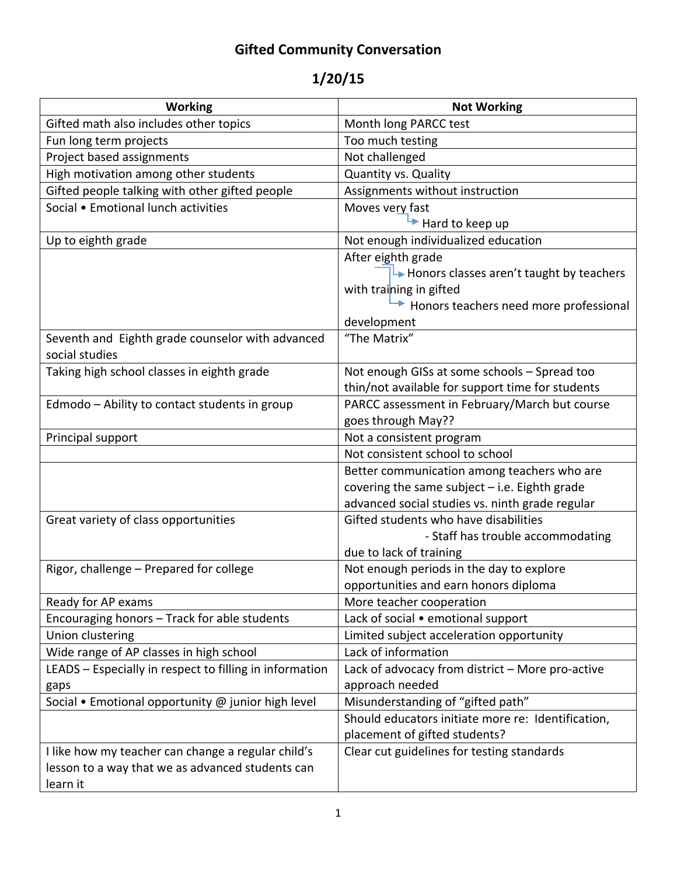# **Gifted Community Conversation**

# **1/20/15**

| <b>Working</b>                                                     | <b>Not Working</b>                                     |
|--------------------------------------------------------------------|--------------------------------------------------------|
| Gifted math also includes other topics                             | Month long PARCC test                                  |
| Fun long term projects                                             | Too much testing                                       |
| Project based assignments                                          | Not challenged                                         |
| High motivation among other students                               | Quantity vs. Quality                                   |
| Gifted people talking with other gifted people                     | Assignments without instruction                        |
| Social • Emotional lunch activities                                | Moves very fast                                        |
|                                                                    | Hard to keep up                                        |
| Up to eighth grade                                                 | Not enough individualized education                    |
|                                                                    | After eighth grade                                     |
|                                                                    | $\rightarrow$ Honors classes aren't taught by teachers |
|                                                                    | with training in gifted                                |
|                                                                    | Honors teachers need more professional                 |
|                                                                    | development                                            |
| Seventh and Eighth grade counselor with advanced<br>social studies | "The Matrix"                                           |
| Taking high school classes in eighth grade                         | Not enough GISs at some schools - Spread too           |
|                                                                    | thin/not available for support time for students       |
| Edmodo - Ability to contact students in group                      | PARCC assessment in February/March but course          |
|                                                                    | goes through May??                                     |
| Principal support                                                  | Not a consistent program                               |
|                                                                    | Not consistent school to school                        |
|                                                                    | Better communication among teachers who are            |
|                                                                    | covering the same subject - i.e. Eighth grade          |
|                                                                    | advanced social studies vs. ninth grade regular        |
| Great variety of class opportunities                               | Gifted students who have disabilities                  |
|                                                                    | - Staff has trouble accommodating                      |
|                                                                    | due to lack of training                                |
| Rigor, challenge - Prepared for college                            | Not enough periods in the day to explore               |
|                                                                    | opportunities and earn honors diploma                  |
| Ready for AP exams                                                 | More teacher cooperation                               |
| Encouraging honors - Track for able students                       | Lack of social • emotional support                     |
| Union clustering                                                   | Limited subject acceleration opportunity               |
| Wide range of AP classes in high school                            | Lack of information                                    |
| LEADS - Especially in respect to filling in information            | Lack of advocacy from district - More pro-active       |
| gaps                                                               | approach needed                                        |
| Social • Emotional opportunity @ junior high level                 | Misunderstanding of "gifted path"                      |
|                                                                    | Should educators initiate more re: Identification,     |
|                                                                    | placement of gifted students?                          |
| I like how my teacher can change a regular child's                 | Clear cut guidelines for testing standards             |
| lesson to a way that we as advanced students can                   |                                                        |
| learn it                                                           |                                                        |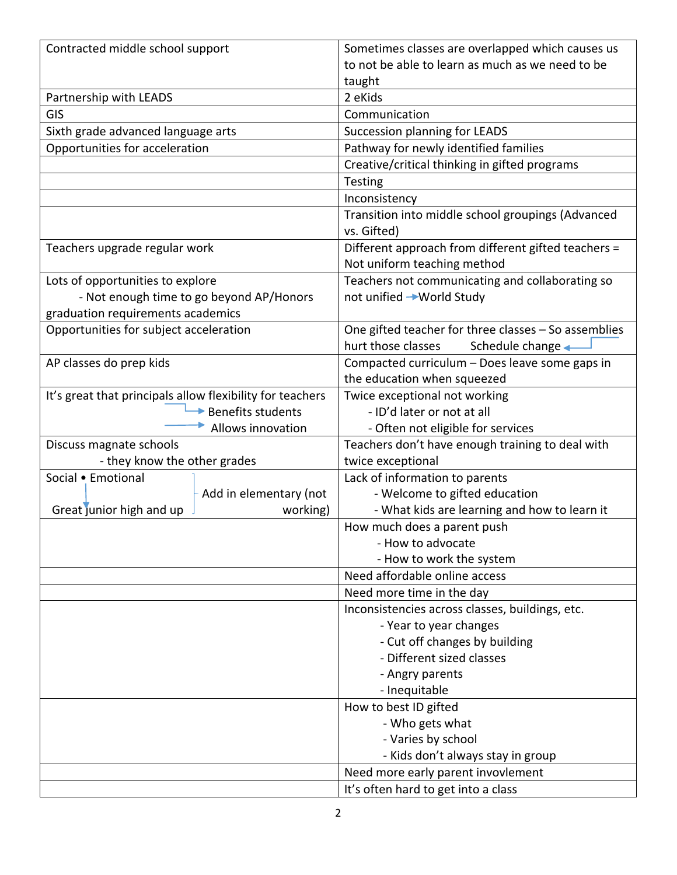| Contracted middle school support                          | Sometimes classes are overlapped which causes us     |
|-----------------------------------------------------------|------------------------------------------------------|
|                                                           | to not be able to learn as much as we need to be     |
|                                                           | taught                                               |
| Partnership with LEADS                                    | 2 eKids                                              |
| <b>GIS</b>                                                | Communication                                        |
| Sixth grade advanced language arts                        | Succession planning for LEADS                        |
| Opportunities for acceleration                            | Pathway for newly identified families                |
|                                                           | Creative/critical thinking in gifted programs        |
|                                                           | <b>Testing</b>                                       |
|                                                           | Inconsistency                                        |
|                                                           | Transition into middle school groupings (Advanced    |
|                                                           | vs. Gifted)                                          |
| Teachers upgrade regular work                             | Different approach from different gifted teachers =  |
|                                                           | Not uniform teaching method                          |
| Lots of opportunities to explore                          | Teachers not communicating and collaborating so      |
| - Not enough time to go beyond AP/Honors                  | not unified → World Study                            |
| graduation requirements academics                         |                                                      |
| Opportunities for subject acceleration                    | One gifted teacher for three classes - So assemblies |
|                                                           | hurt those classes<br>Schedule change <              |
| AP classes do prep kids                                   | Compacted curriculum - Does leave some gaps in       |
|                                                           | the education when squeezed                          |
| It's great that principals allow flexibility for teachers | Twice exceptional not working                        |
| Benefits students                                         | - ID'd later or not at all                           |
| Allows innovation                                         | - Often not eligible for services                    |
| Discuss magnate schools                                   | Teachers don't have enough training to deal with     |
| - they know the other grades                              | twice exceptional                                    |
| Social • Emotional                                        | Lack of information to parents                       |
| Add in elementary (not                                    | - Welcome to gifted education                        |
| Great junior high and up<br>working)                      | - What kids are learning and how to learn it         |
|                                                           | How much does a parent push                          |
|                                                           | - How to advocate                                    |
|                                                           | - How to work the system                             |
|                                                           | Need affordable online access                        |
|                                                           | Need more time in the day                            |
|                                                           | Inconsistencies across classes, buildings, etc.      |
|                                                           | - Year to year changes                               |
|                                                           | - Cut off changes by building                        |
|                                                           | - Different sized classes                            |
|                                                           | - Angry parents                                      |
|                                                           | - Inequitable                                        |
|                                                           | How to best ID gifted                                |
|                                                           | - Who gets what                                      |
|                                                           | - Varies by school                                   |
|                                                           | - Kids don't always stay in group                    |
|                                                           | Need more early parent invovlement                   |
|                                                           | It's often hard to get into a class                  |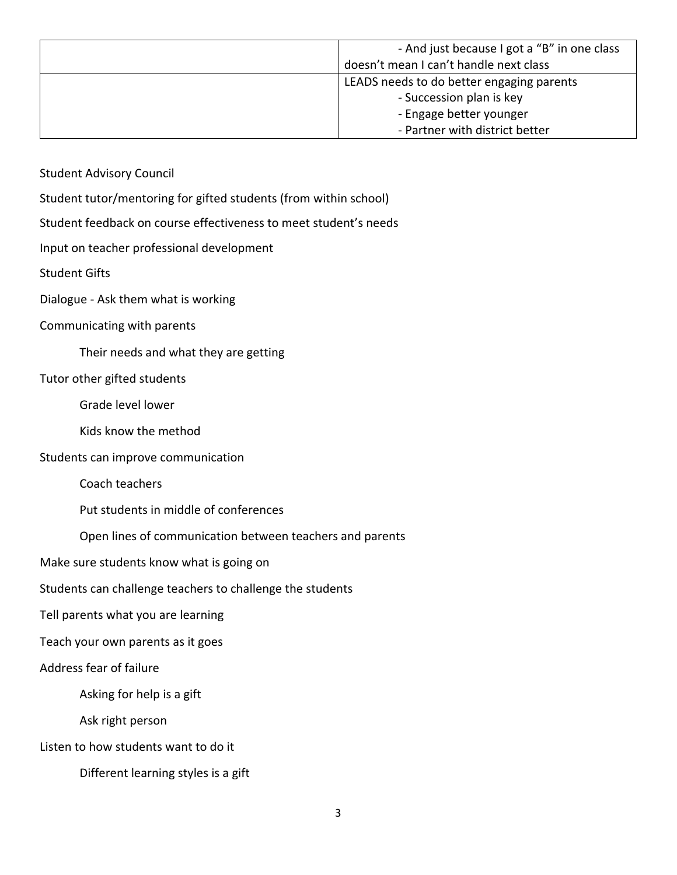| - And just because I got a "B" in one class |
|---------------------------------------------|
| doesn't mean I can't handle next class      |
| LEADS needs to do better engaging parents   |
| - Succession plan is key                    |
| - Engage better younger                     |
| - Partner with district better              |

Student Advisory Council

Student tutor/mentoring for gifted students (from within school)

Student feedback on course effectiveness to meet student's needs

Input on teacher professional development

Student Gifts

Dialogue ‐ Ask them what is working

### Communicating with parents

Their needs and what they are getting

## Tutor other gifted students

Grade level lower

Kids know the method

Students can improve communication

Coach teachers

Put students in middle of conferences

Open lines of communication between teachers and parents

Make sure students know what is going on

Students can challenge teachers to challenge the students

Tell parents what you are learning

Teach your own parents as it goes

#### Address fear of failure

Asking for help is a gift

Ask right person

Listen to how students want to do it

Different learning styles is a gift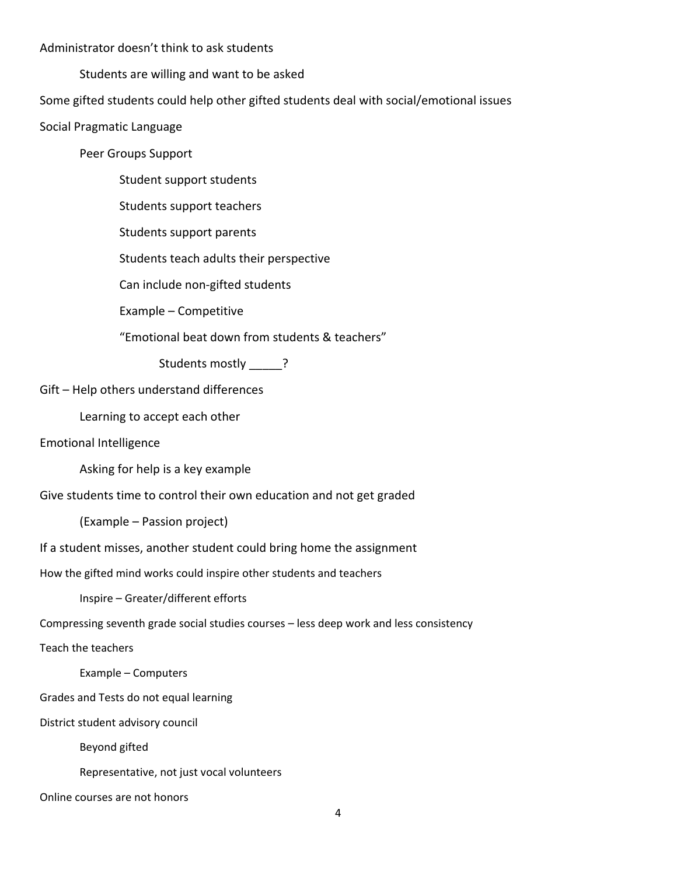### Administrator doesn't think to ask students

Students are willing and want to be asked

Some gifted students could help other gifted students deal with social/emotional issues

Social Pragmatic Language

Peer Groups Support

Student support students

Students support teachers

Students support parents

Students teach adults their perspective

Can include non‐gifted students

Example – Competitive

"Emotional beat down from students & teachers"

Students mostly ?

Gift – Help others understand differences

Learning to accept each other

Emotional Intelligence

Asking for help is a key example

Give students time to control their own education and not get graded

(Example – Passion project)

If a student misses, another student could bring home the assignment

How the gifted mind works could inspire other students and teachers

Inspire – Greater/different efforts

Compressing seventh grade social studies courses – less deep work and less consistency

Teach the teachers

Example – Computers

Grades and Tests do not equal learning

District student advisory council

Beyond gifted

Representative, not just vocal volunteers

Online courses are not honors